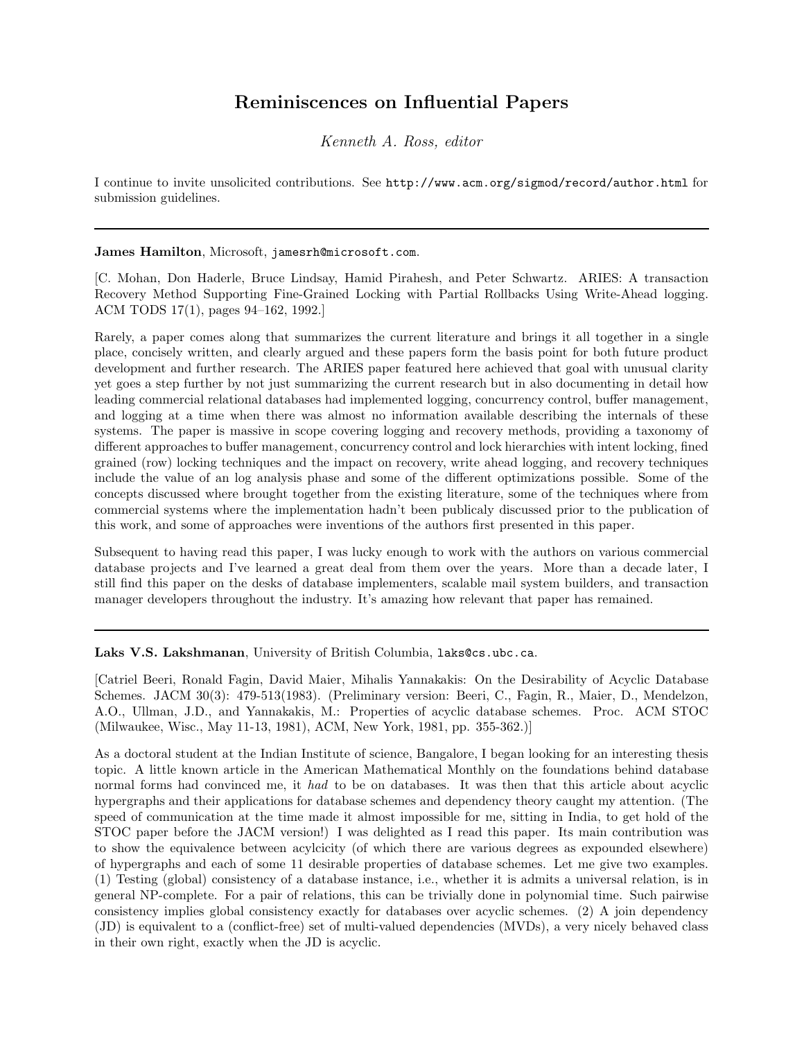## Reminiscences on Influential Papers

Kenneth A. Ross, editor

I continue to invite unsolicited contributions. See http://www.acm.org/sigmod/record/author.html for submission guidelines.

## James Hamilton, Microsoft, jamesrh@microsoft.com.

[C. Mohan, Don Haderle, Bruce Lindsay, Hamid Pirahesh, and Peter Schwartz. ARIES: A transaction Recovery Method Supporting Fine-Grained Locking with Partial Rollbacks Using Write-Ahead logging. ACM TODS 17(1), pages 94–162, 1992.]

Rarely, a paper comes along that summarizes the current literature and brings it all together in a single place, concisely written, and clearly argued and these papers form the basis point for both future product development and further research. The ARIES paper featured here achieved that goal with unusual clarity yet goes a step further by not just summarizing the current research but in also documenting in detail how leading commercial relational databases had implemented logging, concurrency control, buffer management, and logging at a time when there was almost no information available describing the internals of these systems. The paper is massive in scope covering logging and recovery methods, providing a taxonomy of different approaches to buffer management, concurrency control and lock hierarchies with intent locking, fined grained (row) locking techniques and the impact on recovery, write ahead logging, and recovery techniques include the value of an log analysis phase and some of the different optimizations possible. Some of the concepts discussed where brought together from the existing literature, some of the techniques where from commercial systems where the implementation hadn't been publicaly discussed prior to the publication of this work, and some of approaches were inventions of the authors first presented in this paper.

Subsequent to having read this paper, I was lucky enough to work with the authors on various commercial database projects and I've learned a great deal from them over the years. More than a decade later, I still find this paper on the desks of database implementers, scalable mail system builders, and transaction manager developers throughout the industry. It's amazing how relevant that paper has remained.

Laks V.S. Lakshmanan, University of British Columbia, laks@cs.ubc.ca.

[Catriel Beeri, Ronald Fagin, David Maier, Mihalis Yannakakis: On the Desirability of Acyclic Database Schemes. JACM 30(3): 479-513(1983). (Preliminary version: Beeri, C., Fagin, R., Maier, D., Mendelzon, A.O., Ullman, J.D., and Yannakakis, M.: Properties of acyclic database schemes. Proc. ACM STOC (Milwaukee, Wisc., May 11-13, 1981), ACM, New York, 1981, pp. 355-362.)]

As a doctoral student at the Indian Institute of science, Bangalore, I began looking for an interesting thesis topic. A little known article in the American Mathematical Monthly on the foundations behind database normal forms had convinced me, it had to be on databases. It was then that this article about acyclic hypergraphs and their applications for database schemes and dependency theory caught my attention. (The speed of communication at the time made it almost impossible for me, sitting in India, to get hold of the STOC paper before the JACM version!) I was delighted as I read this paper. Its main contribution was to show the equivalence between acylcicity (of which there are various degrees as expounded elsewhere) of hypergraphs and each of some 11 desirable properties of database schemes. Let me give two examples. (1) Testing (global) consistency of a database instance, i.e., whether it is admits a universal relation, is in general NP-complete. For a pair of relations, this can be trivially done in polynomial time. Such pairwise consistency implies global consistency exactly for databases over acyclic schemes. (2) A join dependency (JD) is equivalent to a (conflict-free) set of multi-valued dependencies (MVDs), a very nicely behaved class in their own right, exactly when the JD is acyclic.